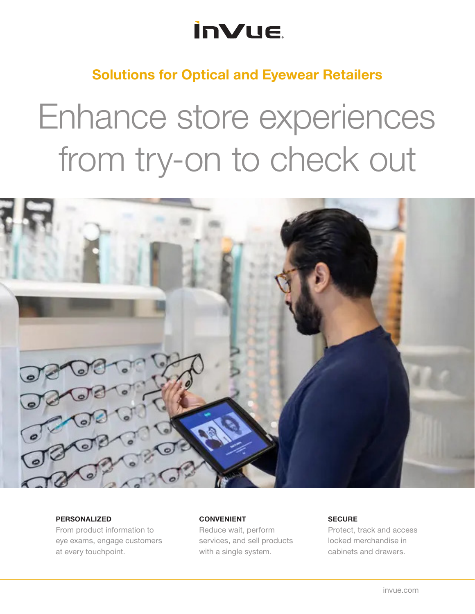## **InVue**

### Solutions for Optical and Eyewear Retailers

# Enhance store experiences from try-on to check out



#### PERSONALIZED

From product information to eye exams, engage customers at every touchpoint.

#### CONVENIENT

Reduce wait, perform services, and sell products with a single system.

#### **SECURE**

Protect, track and access locked merchandise in cabinets and drawers.